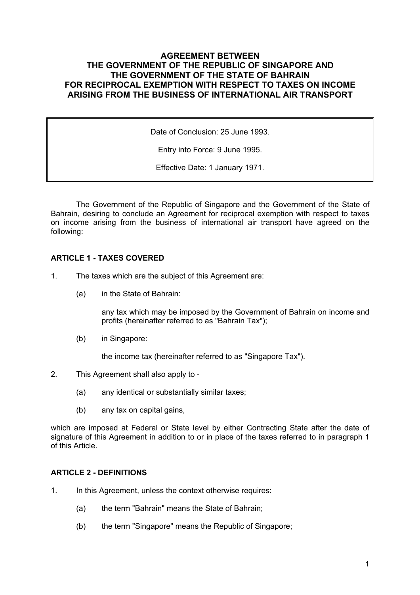# **AGREEMENT BETWEEN THE GOVERNMENT OF THE REPUBLIC OF SINGAPORE AND THE GOVERNMENT OF THE STATE OF BAHRAIN FOR RECIPROCAL EXEMPTION WITH RESPECT TO TAXES ON INCOME ARISING FROM THE BUSINESS OF INTERNATIONAL AIR TRANSPORT**

Date of Conclusion: 25 June 1993.

Entry into Force: 9 June 1995.

Effective Date: 1 January 1971.

The Government of the Republic of Singapore and the Government of the State of Bahrain, desiring to conclude an Agreement for reciprocal exemption with respect to taxes on income arising from the business of international air transport have agreed on the following:

# **ARTICLE 1 - TAXES COVERED**

- 1. The taxes which are the subject of this Agreement are:
	- (a) in the State of Bahrain:

any tax which may be imposed by the Government of Bahrain on income and profits (hereinafter referred to as "Bahrain Tax");

(b) in Singapore:

the income tax (hereinafter referred to as "Singapore Tax").

- 2. This Agreement shall also apply to
	- (a) any identical or substantially similar taxes;
	- (b) any tax on capital gains,

which are imposed at Federal or State level by either Contracting State after the date of signature of this Agreement in addition to or in place of the taxes referred to in paragraph 1 of this Article.

## **ARTICLE 2 - DEFINITIONS**

- 1. In this Agreement, unless the context otherwise requires:
	- (a) the term "Bahrain" means the State of Bahrain;
	- (b) the term "Singapore" means the Republic of Singapore;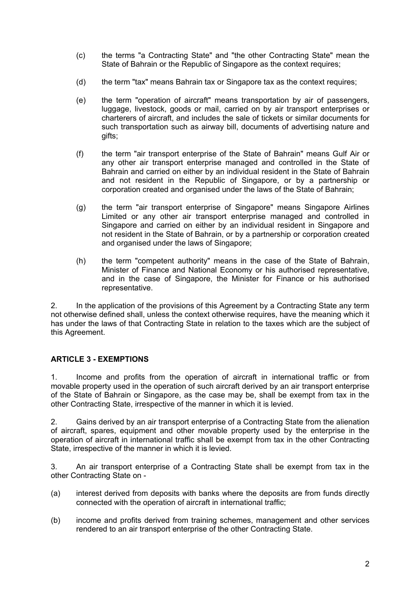- (c) the terms "a Contracting State" and "the other Contracting State" mean the State of Bahrain or the Republic of Singapore as the context requires;
- (d) the term "tax" means Bahrain tax or Singapore tax as the context requires;
- (e) the term "operation of aircraft" means transportation by air of passengers, luggage, livestock, goods or mail, carried on by air transport enterprises or charterers of aircraft, and includes the sale of tickets or similar documents for such transportation such as airway bill, documents of advertising nature and gifts;
- (f) the term "air transport enterprise of the State of Bahrain" means Gulf Air or any other air transport enterprise managed and controlled in the State of Bahrain and carried on either by an individual resident in the State of Bahrain and not resident in the Republic of Singapore, or by a partnership or corporation created and organised under the laws of the State of Bahrain;
- (g) the term "air transport enterprise of Singapore" means Singapore Airlines Limited or any other air transport enterprise managed and controlled in Singapore and carried on either by an individual resident in Singapore and not resident in the State of Bahrain, or by a partnership or corporation created and organised under the laws of Singapore;
- (h) the term "competent authority" means in the case of the State of Bahrain, Minister of Finance and National Economy or his authorised representative, and in the case of Singapore, the Minister for Finance or his authorised representative.

2. In the application of the provisions of this Agreement by a Contracting State any term not otherwise defined shall, unless the context otherwise requires, have the meaning which it has under the laws of that Contracting State in relation to the taxes which are the subject of this Agreement.

# **ARTICLE 3 - EXEMPTIONS**

1. Income and profits from the operation of aircraft in international traffic or from movable property used in the operation of such aircraft derived by an air transport enterprise of the State of Bahrain or Singapore, as the case may be, shall be exempt from tax in the other Contracting State, irrespective of the manner in which it is levied.

2. Gains derived by an air transport enterprise of a Contracting State from the alienation of aircraft, spares, equipment and other movable property used by the enterprise in the operation of aircraft in international traffic shall be exempt from tax in the other Contracting State, irrespective of the manner in which it is levied.

3. An air transport enterprise of a Contracting State shall be exempt from tax in the other Contracting State on -

- (a) interest derived from deposits with banks where the deposits are from funds directly connected with the operation of aircraft in international traffic;
- (b) income and profits derived from training schemes, management and other services rendered to an air transport enterprise of the other Contracting State.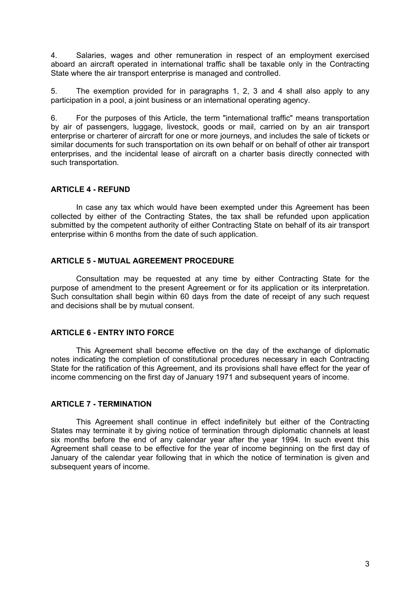4. Salaries, wages and other remuneration in respect of an employment exercised aboard an aircraft operated in international traffic shall be taxable only in the Contracting State where the air transport enterprise is managed and controlled.

5. The exemption provided for in paragraphs 1, 2, 3 and 4 shall also apply to any participation in a pool, a joint business or an international operating agency.

6. For the purposes of this Article, the term "international traffic" means transportation by air of passengers, luggage, livestock, goods or mail, carried on by an air transport enterprise or charterer of aircraft for one or more journeys, and includes the sale of tickets or similar documents for such transportation on its own behalf or on behalf of other air transport enterprises, and the incidental lease of aircraft on a charter basis directly connected with such transportation.

## **ARTICLE 4 - REFUND**

In case any tax which would have been exempted under this Agreement has been collected by either of the Contracting States, the tax shall be refunded upon application submitted by the competent authority of either Contracting State on behalf of its air transport enterprise within 6 months from the date of such application.

### **ARTICLE 5 - MUTUAL AGREEMENT PROCEDURE**

Consultation may be requested at any time by either Contracting State for the purpose of amendment to the present Agreement or for its application or its interpretation. Such consultation shall begin within 60 days from the date of receipt of any such request and decisions shall be by mutual consent.

## **ARTICLE 6 - ENTRY INTO FORCE**

This Agreement shall become effective on the day of the exchange of diplomatic notes indicating the completion of constitutional procedures necessary in each Contracting State for the ratification of this Agreement, and its provisions shall have effect for the year of income commencing on the first day of January 1971 and subsequent years of income.

### **ARTICLE 7 - TERMINATION**

This Agreement shall continue in effect indefinitely but either of the Contracting States may terminate it by giving notice of termination through diplomatic channels at least six months before the end of any calendar year after the year 1994. In such event this Agreement shall cease to be effective for the year of income beginning on the first day of January of the calendar year following that in which the notice of termination is given and subsequent years of income.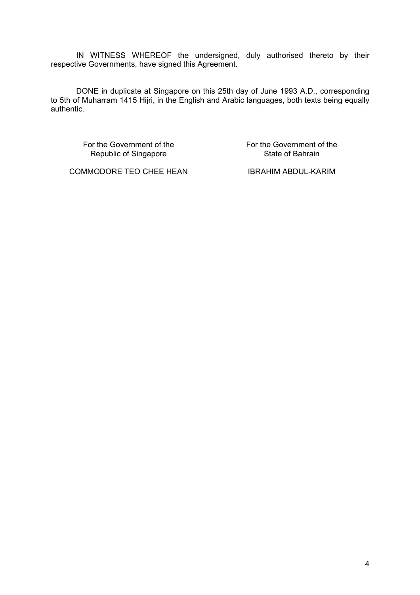IN WITNESS WHEREOF the undersigned, duly authorised thereto by their respective Governments, have signed this Agreement.

DONE in duplicate at Singapore on this 25th day of June 1993 A.D., corresponding to 5th of Muharram 1415 Hijri, in the English and Arabic languages, both texts being equally authentic.

> For the Government of the Republic of Singapore

For the Government of the State of Bahrain

COMMODORE TEO CHEE HEAN IBRAHIM ABDUL-KARIM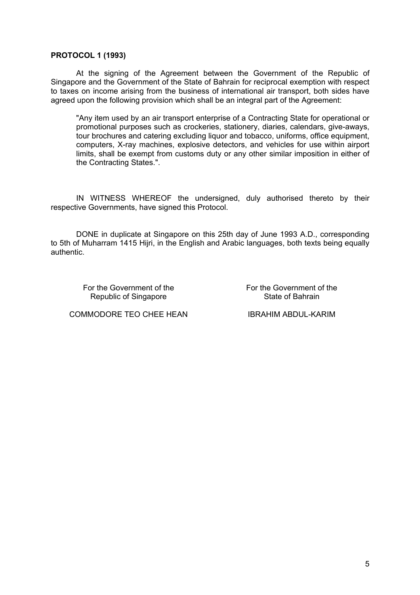### **PROTOCOL 1 (1993)**

At the signing of the Agreement between the Government of the Republic of Singapore and the Government of the State of Bahrain for reciprocal exemption with respect to taxes on income arising from the business of international air transport, both sides have agreed upon the following provision which shall be an integral part of the Agreement:

"Any item used by an air transport enterprise of a Contracting State for operational or promotional purposes such as crockeries, stationery, diaries, calendars, give-aways, tour brochures and catering excluding liquor and tobacco, uniforms, office equipment, computers, X-ray machines, explosive detectors, and vehicles for use within airport limits, shall be exempt from customs duty or any other similar imposition in either of the Contracting States.".

IN WITNESS WHEREOF the undersigned, duly authorised thereto by their respective Governments, have signed this Protocol.

DONE in duplicate at Singapore on this 25th day of June 1993 A.D., corresponding to 5th of Muharram 1415 Hijri, in the English and Arabic languages, both texts being equally authentic.

For the Government of the Republic of Singapore

For the Government of the State of Bahrain

COMMODORE TEO CHEE HEAN IBRAHIM ABDUL-KARIM